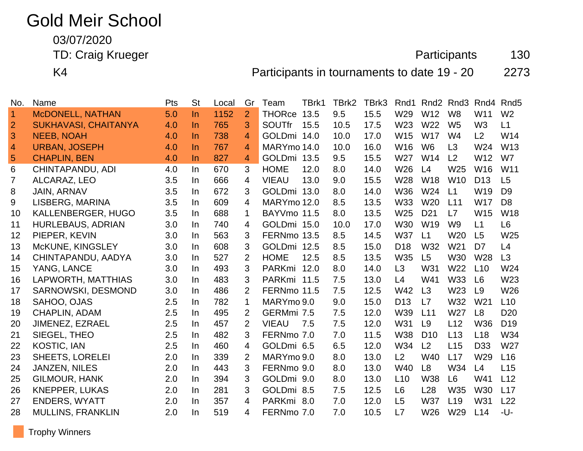## Gold Meir School

03/07/2020

TD: Craig Krueger **Participants** 130

K4 **Participants in tournaments to date 19 - 20** 2273

| No.            | Name                        | Pts | <b>St</b> | Local | Gr             | Team          | TBrk1 | TBrk2 | TBrk3 | Rnd1            |                 | Rnd <sub>2</sub> Rnd <sub>3</sub> | Rnd4            | Rnd <sub>5</sub> |
|----------------|-----------------------------|-----|-----------|-------|----------------|---------------|-------|-------|-------|-----------------|-----------------|-----------------------------------|-----------------|------------------|
| $\overline{1}$ | <b>McDONELL, NATHAN</b>     | 5.0 | $\ln$     | 1152  | $\overline{2}$ | <b>THORce</b> | 13.5  | 9.5   | 15.5  | W29             | W12             | W <sub>8</sub>                    | W <sub>11</sub> | W <sub>2</sub>   |
| $\overline{2}$ | <b>SUKHAVASI, CHAITANYA</b> | 4.0 | In.       | 765   | 3              | <b>SOUTfr</b> | 15.5  | 10.5  | 17.5  | W <sub>23</sub> | W22             | W <sub>5</sub>                    | W <sub>3</sub>  | L1               |
| 3              | <b>NEEB, NOAH</b>           | 4.0 | $\ln$     | 738   | 4              | GOLDmi 14.0   |       | 10.0  | 17.0  | W15             | <b>W17</b>      | W4                                | L2              | W14              |
| $\overline{4}$ | <b>URBAN, JOSEPH</b>        | 4.0 | In.       | 767   | $\overline{4}$ | MARYmo 14.0   |       | 10.0  | 16.0  | W16             | W <sub>6</sub>  | L3                                | W24             | W <sub>13</sub>  |
| $\overline{5}$ | <b>CHAPLIN, BEN</b>         | 4.0 | In.       | 827   | 4              | GOLDmi 13.5   |       | 9.5   | 15.5  | W27             | W14             | L <sub>2</sub>                    | W12             | W7               |
| 6              | CHINTAPANDU, ADI            | 4.0 | In.       | 670   | 3              | <b>HOME</b>   | 12.0  | 8.0   | 14.0  | W26             | L4              | W <sub>25</sub>                   | W16             | W11              |
| $\overline{7}$ | ALCARAZ, LEO                | 3.5 | In.       | 666   | 4              | <b>VIEAU</b>  | 13.0  | 9.0   | 15.5  | W28             | <b>W18</b>      | W <sub>10</sub>                   | D <sub>13</sub> | L <sub>5</sub>   |
| 8              | <b>JAIN, ARNAV</b>          | 3.5 | In.       | 672   | 3              | GOLDmi 13.0   |       | 8.0   | 14.0  | <b>W36</b>      | W24             | L1                                | W19             | D <sub>9</sub>   |
| 9              | LISBERG, MARINA             | 3.5 | In.       | 609   | 4              | MARYmo 12.0   |       | 8.5   | 13.5  | W33             | W <sub>20</sub> | L11                               | <b>W17</b>      | D <sub>8</sub>   |
| 10             | KALLENBERGER, HUGO          | 3.5 | In.       | 688   | $\mathbf{1}$   | BAYVmo 11.5   |       | 8.0   | 13.5  | W <sub>25</sub> | D <sub>21</sub> | L7                                | W <sub>15</sub> | <b>W18</b>       |
| 11             | <b>HURLEBAUS, ADRIAN</b>    | 3.0 | In.       | 740   | 4              | GOLDmi 15.0   |       | 10.0  | 17.0  | W30             | W19             | W <sub>9</sub>                    | L1              | L <sub>6</sub>   |
| 12             | PIEPER, KEVIN               | 3.0 | In.       | 563   | 3              | FERNmo 13.5   |       | 8.5   | 14.5  | <b>W37</b>      | L1              | W <sub>20</sub>                   | L5              | W25              |
| 13             | McKUNE, KINGSLEY            | 3.0 | In.       | 608   | 3              | GOLDmi 12.5   |       | 8.5   | 15.0  | D <sub>18</sub> | W32             | W21                               | D <sub>7</sub>  | L4               |
| 14             | CHINTAPANDU, AADYA          | 3.0 | In.       | 527   | $\overline{2}$ | <b>HOME</b>   | 12.5  | 8.5   | 13.5  | W35             | L5              | <b>W30</b>                        | W28             | L3               |
| 15             | YANG, LANCE                 | 3.0 | In.       | 493   | 3              | PARKmi 12.0   |       | 8.0   | 14.0  | L3              | W31             | W22                               | L10             | W24              |
| 16             | LAPWORTH, MATTHIAS          | 3.0 | In.       | 483   | 3              | PARKmi 11.5   |       | 7.5   | 13.0  | L4              | W41             | W33                               | L6              | W <sub>23</sub>  |
| 17             | SARNOWSKI, DESMOND          | 3.0 | In.       | 486   | $\overline{2}$ | FERNmo 11.5   |       | 7.5   | 12.5  | W42             | L3              | W <sub>23</sub>                   | L9              | W26              |
| 18             | SAHOO, OJAS                 | 2.5 | In.       | 782   | $\mathbf 1$    | MARYmo 9.0    |       | 9.0   | 15.0  | D <sub>13</sub> | L7              | W32                               | W <sub>21</sub> | L10              |
| 19             | <b>CHAPLIN, ADAM</b>        | 2.5 | In.       | 495   | $\overline{2}$ | GERMmi 7.5    |       | 7.5   | 12.0  | W39             | L11             | W <sub>27</sub>                   | L <sub>8</sub>  | D <sub>20</sub>  |
| 20             | JIMENEZ, EZRAEL             | 2.5 | In.       | 457   | $\overline{2}$ | <b>VIEAU</b>  | 7.5   | 7.5   | 12.0  | W31             | L <sub>9</sub>  | L12                               | W36             | D <sub>19</sub>  |
| 21             | SIEGEL, THEO                | 2.5 | In.       | 482   | 3              | FERNmo 7.0    |       | 7.0   | 11.5  | <b>W38</b>      | D <sub>10</sub> | L <sub>13</sub>                   | L18             | W34              |
| 22             | <b>KOSTIC, IAN</b>          | 2.5 | In        | 460   | 4              | GOLDmi 6.5    |       | 6.5   | 12.0  | W34             | L2              | L15                               | D <sub>33</sub> | W27              |
| 23             | <b>SHEETS, LORELEI</b>      | 2.0 | In.       | 339   | $\overline{2}$ | MARYmo 9.0    |       | 8.0   | 13.0  | L2              | W40             | L17                               | W <sub>29</sub> | L <sub>16</sub>  |
| 24             | <b>JANZEN, NILES</b>        | 2.0 | In.       | 443   | 3              | FERNmo 9.0    |       | 8.0   | 13.0  | W40             | L <sub>8</sub>  | W34                               | L4              | L15              |
| 25             | <b>GILMOUR, HANK</b>        | 2.0 | In.       | 394   | 3              | GOLDmi 9.0    |       | 8.0   | 13.0  | L10             | W38             | L6                                | W41             | L12              |
| 26             | <b>KNEPPER, LUKAS</b>       | 2.0 | In.       | 281   | 3              | GOLDmi 8.5    |       | 7.5   | 12.5  | L <sub>6</sub>  | L <sub>28</sub> | W35                               | W30             | L17              |
| 27             | <b>ENDERS, WYATT</b>        | 2.0 | In.       | 357   | 4              | PARKmi 8.0    |       | 7.0   | 12.0  | L5              | <b>W37</b>      | L <sub>19</sub>                   | W31             | L22              |
| 28             | <b>MULLINS, FRANKLIN</b>    | 2.0 | In.       | 519   | 4              | FERNmo 7.0    |       | 7.0   | 10.5  | L7              | W26             | W29                               | L14             | -U-              |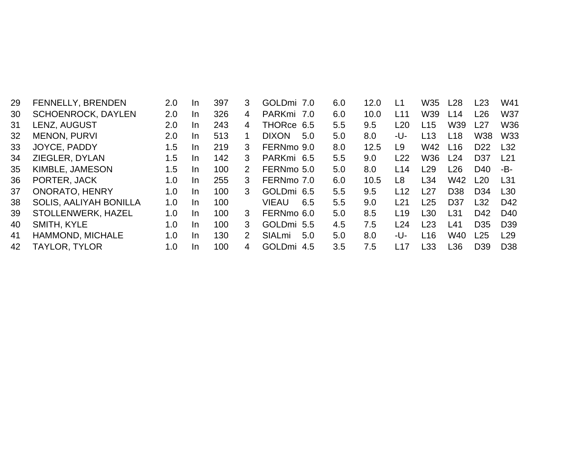| 29 | FENNELLY, BRENDEN             | 2.0 | In. | 397 | 3             | GOLDmi 7.0           | 6.0 | 12.0 | L1              | <b>W35</b>      | L28             | L23             | W41             |
|----|-------------------------------|-----|-----|-----|---------------|----------------------|-----|------|-----------------|-----------------|-----------------|-----------------|-----------------|
| 30 | <b>SCHOENROCK, DAYLEN</b>     | 2.0 | In. | 326 | 4             | PARKmi 7.0           | 6.0 | 10.0 | L11             | W39             | L14             | L26             | <b>W37</b>      |
| 31 | LENZ, AUGUST                  | 2.0 | In. | 243 | 4             | THORce 6.5           | 5.5 | 9.5  | L20             | L <sub>15</sub> | W39             | L27             | <b>W36</b>      |
| 32 | <b>MENON, PURVI</b>           | 2.0 | In. | 513 |               | <b>DIXON</b><br>5.0  | 5.0 | 8.0  | -U-             | L13             | L18             | W38             | W33             |
| 33 | JOYCE, PADDY                  | 1.5 | In. | 219 | 3             | FERNmo 9.0           | 8.0 | 12.5 | L9              | W42             | L16             | D <sub>22</sub> | L32             |
| 34 | ZIEGLER, DYLAN                | 1.5 | In. | 142 | 3             | PARKmi 6.5           | 5.5 | 9.0  | L22             | W36             | L24             | D <sub>37</sub> | L21             |
| 35 | KIMBLE, JAMESON               | 1.5 | In. | 100 | 2             | FERNmo 5.0           | 5.0 | 8.0  | L14             | L29             | L26             | D40             | -B-             |
| 36 | PORTER, JACK                  | 1.0 | In. | 255 | 3             | FERNmo 7.0           | 6.0 | 10.5 | L8              | L34             | W42             | L20             | L31             |
| 37 | <b>ONORATO, HENRY</b>         | 1.0 | In. | 100 | 3             | GOLDmi 6.5           | 5.5 | 9.5  | L12             | L27             | D <sub>38</sub> | D <sub>34</sub> | L30             |
| 38 | <b>SOLIS, AALIYAH BONILLA</b> | 1.0 | In. | 100 |               | <b>VIEAU</b><br>6.5  | 5.5 | 9.0  | L21             | L25             | D <sub>37</sub> | L32             | D42             |
| 39 | STOLLENWERK, HAZEL            | 1.0 | In. | 100 | 3             | FERNmo 6.0           | 5.0 | 8.5  | L <sub>19</sub> | L <sub>30</sub> | L31             | D42             | D <sub>40</sub> |
| 40 | SMITH, KYLE                   | 1.0 | In. | 100 | 3             | GOLDmi 5.5           | 4.5 | 7.5  | L24             | L23             | L41             | D <sub>35</sub> | D <sub>39</sub> |
| 41 | HAMMOND, MICHALE              | 1.0 | In  | 130 | $\mathcal{P}$ | SIALmi<br>5.0        | 5.0 | 8.0  | -U-             | L16             | W40             | L25             | L29             |
| 42 | <b>TAYLOR, TYLOR</b>          | 1.0 | In. | 100 | 4             | <b>GOLDmi</b><br>4.5 | 3.5 | 7.5  | L17             | L33             | L36             | D <sub>39</sub> | D <sub>38</sub> |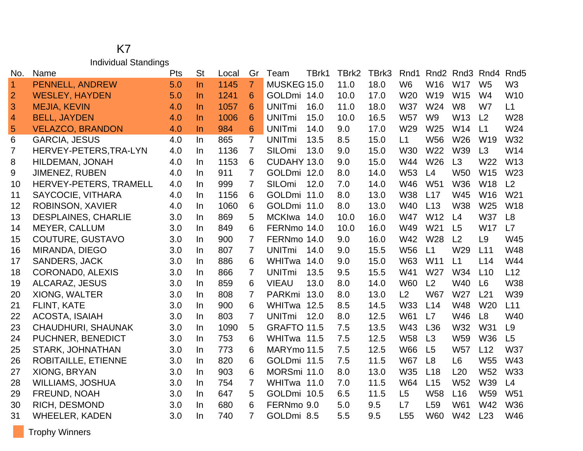## K7 Individual Standings

| No.            | Name                       | Pts | <b>St</b> | Local | Gr             | Team                     | TBrk1 | TBrk2 | TBrk3 | Rnd1            | Rnd <sub>2</sub> | Rnd <sub>3</sub> | Rnd4            | Rnd <sub>5</sub> |
|----------------|----------------------------|-----|-----------|-------|----------------|--------------------------|-------|-------|-------|-----------------|------------------|------------------|-----------------|------------------|
| $\overline{1}$ | PENNELL, ANDREW            | 5.0 | $\ln$     | 1145  | $\overline{7}$ | MUSKEG 15.0              |       | 11.0  | 18.0  | W <sub>6</sub>  | W16              | <b>W17</b>       | W <sub>5</sub>  | W <sub>3</sub>   |
| $\overline{2}$ | <b>WESLEY, HAYDEN</b>      | 5.0 | $\ln$     | 1241  | 6              | GOLDmi 14.0              |       | 10.0  | 17.0  | W <sub>20</sub> | W19              | W15              | W <sub>4</sub>  | W10              |
| 3              | <b>MEJIA, KEVIN</b>        | 4.0 | $\ln$     | 1057  | 6              | <b>UNITmi</b>            | 16.0  | 11.0  | 18.0  | <b>W37</b>      | W24              | W <sub>8</sub>   | W7              | L1               |
| $\overline{4}$ | <b>BELL, JAYDEN</b>        | 4.0 | $\ln$     | 1006  | 6              | <b>UNITmi</b>            | 15.0  | 10.0  | 16.5  | <b>W57</b>      | W <sub>9</sub>   | W13              | L <sub>2</sub>  | W28              |
| 5              | <b>VELAZCO, BRANDON</b>    | 4.0 | $\ln$     | 984   | 6              | <b>UNITmi</b>            | 14.0  | 9.0   | 17.0  | W29             | W25              | W14              | L1              | W24              |
| 6              | <b>GARCIA, JESUS</b>       | 4.0 | In        | 865   | $\overline{7}$ | <b>UNITmi</b>            | 13.5  | 8.5   | 15.0  | L1              | <b>W56</b>       | W26              | W <sub>19</sub> | W32              |
| 7              | HERVEY-PETERS, TRA-LYN     | 4.0 | In.       | 1136  | 7              | SILOmi                   | 13.0  | 9.0   | 15.0  | W30             | W22              | W39              | L3              | W14              |
| 8              | HILDEMAN, JONAH            | 4.0 | In        | 1153  | 6              | CUDAHY 13.0              |       | 9.0   | 15.0  | W44             | W26              | L3               | W22             | W13              |
| 9              | <b>JIMENEZ, RUBEN</b>      | 4.0 | In        | 911   | 7              | GOLDmi 12.0              |       | 8.0   | 14.0  | W <sub>53</sub> | L4               | <b>W50</b>       | W15             | W23              |
| 10             | HERVEY-PETERS, TRAMELL     | 4.0 | In        | 999   | 7              | SILOmi                   | 12.0  | 7.0   | 14.0  | W46             | W <sub>51</sub>  | W36              | <b>W18</b>      | L <sub>2</sub>   |
| 11             | SAYCOCIE, VITHARA          | 4.0 | In.       | 1156  | 6              | GOLDmi 11.0              |       | 8.0   | 13.0  | <b>W38</b>      | L17              | W45              | W16             | W <sub>21</sub>  |
| 12             | ROBINSON, XAVIER           | 4.0 | In.       | 1060  | 6              | GOLDmi 11.0              |       | 8.0   | 13.0  | W40             | L13              | <b>W38</b>       | W <sub>25</sub> | W18              |
| 13             | <b>DESPLAINES, CHARLIE</b> | 3.0 | In        | 869   | 5              | MCKIwa 14.0              |       | 10.0  | 16.0  | <b>W47</b>      | W12              | L4               | W37             | L8               |
| 14             | <b>MEYER, CALLUM</b>       | 3.0 | <b>In</b> | 849   | 6              | FERNmo 14.0              |       | 10.0  | 16.0  | W49             | W <sub>21</sub>  | L <sub>5</sub>   | <b>W17</b>      | L7               |
| 15             | COUTURE, GUSTAVO           | 3.0 | In        | 900   | 7              | FERNmo 14.0              |       | 9.0   | 16.0  | W42             | W28              | L2               | L <sub>9</sub>  | W45              |
| 16             | MIRANDA, DIEGO             | 3.0 | In        | 807   | 7              | <b>UNITmi</b>            | 14.0  | 9.0   | 15.5  | <b>W56</b>      | L1               | W29              | L11             | W48              |
| 17             | <b>SANDERS, JACK</b>       | 3.0 | In        | 886   | 6              | WHITwa                   | 14.0  | 9.0   | 15.0  | W63             | W <sub>11</sub>  | L1               | L14             | W44              |
| 18             | <b>CORONADO, ALEXIS</b>    | 3.0 | In        | 866   | 7              | <b>UNIT<sub>mi</sub></b> | 13.5  | 9.5   | 15.5  | W41             | W <sub>27</sub>  | W34              | L10             | L12              |
| 19             | ALCARAZ, JESUS             | 3.0 | In.       | 859   | 6              | <b>VIEAU</b>             | 13.0  | 8.0   | 14.0  | <b>W60</b>      | L2               | W40              | L6              | W38              |
| 20             | XIONG, WALTER              | 3.0 | In        | 808   | 7              | PARKmi                   | 13.0  | 8.0   | 13.0  | L2              | <b>W67</b>       | W27              | L21             | W39              |
| 21             | FLINT, KATE                | 3.0 | In.       | 900   | 6              | WHITwa 12.5              |       | 8.5   | 14.5  | W33             | L14              | <b>W48</b>       | W <sub>20</sub> | L11              |
| 22             | ACOSTA, ISAIAH             | 3.0 | In.       | 803   | $\overline{7}$ | <b>UNITmi</b>            | 12.0  | 8.0   | 12.5  | W61             | L7               | W46              | L <sub>8</sub>  | W40              |
| 23             | <b>CHAUDHURI, SHAUNAK</b>  | 3.0 | In        | 1090  | 5              | GRAFTO 11.5              |       | 7.5   | 13.5  | W43             | L36              | W32              | W31             | L9               |
| 24             | PUCHNER, BENEDICT          | 3.0 | In        | 753   | 6              | WHITwa 11.5              |       | 7.5   | 12.5  | <b>W58</b>      | L3               | W59              | <b>W36</b>      | L5               |
| 25             | <b>STARK, JOHNATHAN</b>    | 3.0 | In.       | 773   | 6              | MARYmo 11.5              |       | 7.5   | 12.5  | <b>W66</b>      | L <sub>5</sub>   | <b>W57</b>       | L12             | W37              |
| 26             | <b>ROBITAILLE, ETIENNE</b> | 3.0 | In        | 820   | 6              | GOLDmi 11.5              |       | 7.5   | 11.5  | <b>W67</b>      | L8               | L <sub>6</sub>   | W55             | W43              |
| 27             | XIONG, BRYAN               | 3.0 | <b>In</b> | 903   | 6              | MORSmi 11.0              |       | 8.0   | 13.0  | W35             | L18              | L20              | <b>W52</b>      | <b>W33</b>       |
| 28             | <b>WILLIAMS, JOSHUA</b>    | 3.0 | In.       | 754   | 7              | WHITwa 11.0              |       | 7.0   | 11.5  | W64             | L15              | W <sub>52</sub>  | W39             | L4               |
| 29             | FREUND, NOAH               | 3.0 | In.       | 647   | 5              | GOLDmi 10.5              |       | 6.5   | 11.5  | L5              | <b>W58</b>       | L <sub>16</sub>  | W59             | W51              |
| 30             | RICH, DESMOND              | 3.0 | <b>In</b> | 680   | 6              | FERNmo 9.0               |       | 5.0   | 9.5   | L7              | L <sub>59</sub>  | W61              | W42             | W36              |
| 31             | <b>WHEELER, KADEN</b>      | 3.0 | In        | 740   | $\overline{7}$ | GOLDmi 8.5               |       | 5.5   | 9.5   | L <sub>55</sub> | <b>W60</b>       | W42              | L23             | W46              |

Trophy Winners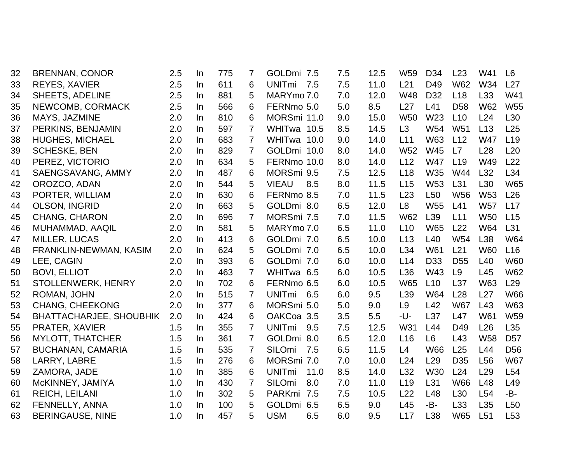| 32 | <b>BRENNAN, CONOR</b>          | 2.5 | In        | 775 | 7              | GOLDmi 7.5            | 7.5 | 12.5 | W <sub>59</sub> | D <sub>34</sub> | L23             | W41             | L <sub>6</sub>  |
|----|--------------------------------|-----|-----------|-----|----------------|-----------------------|-----|------|-----------------|-----------------|-----------------|-----------------|-----------------|
| 33 | <b>REYES, XAVIER</b>           | 2.5 | In        | 611 | 6              | UNITmi 7.5            | 7.5 | 11.0 | L21             | D49             | <b>W62</b>      | W34             | L27             |
| 34 | <b>SHEETS, ADELINE</b>         | 2.5 | <b>In</b> | 881 | 5              | MARYmo 7.0            | 7.0 | 12.0 | W48             | D <sub>32</sub> | L18             | L33             | W41             |
| 35 | NEWCOMB, CORMACK               | 2.5 | In        | 566 | 6              | FERNmo 5.0            | 5.0 | 8.5  | L27             | L41             | D <sub>58</sub> | <b>W62</b>      | <b>W55</b>      |
| 36 | MAYS, JAZMINE                  | 2.0 | In        | 810 | 6              | MORSmi 11.0           | 9.0 | 15.0 | <b>W50</b>      | W23             | L10             | L24             | L <sub>30</sub> |
| 37 | PERKINS, BENJAMIN              | 2.0 | In.       | 597 | 7              | WHITwa 10.5           | 8.5 | 14.5 | L3              | W54             | W <sub>51</sub> | L <sub>13</sub> | L25             |
| 38 | <b>HUGHES, MICHAEL</b>         | 2.0 | In.       | 683 | $\overline{7}$ | WHITwa 10.0           | 9.0 | 14.0 | L11             | W63             | L12             | <b>W47</b>      | L <sub>19</sub> |
| 39 | <b>SCHESKE, BEN</b>            | 2.0 | In        | 829 | $\overline{7}$ | GOLDmi 10.0           | 8.0 | 14.0 | W <sub>52</sub> | W45             | L7              | L28             | L20             |
| 40 | PEREZ, VICTORIO                | 2.0 | In        | 634 | 5              | FERNmo 10.0           | 8.0 | 14.0 | L12             | <b>W47</b>      | L <sub>19</sub> | W49             | L22             |
| 41 | SAENGSAVANG, AMMY              | 2.0 | In        | 487 | 6              | MORSmi 9.5            | 7.5 | 12.5 | L18             | W35             | W44             | L32             | L34             |
| 42 | OROZCO, ADAN                   | 2.0 | In        | 544 | 5              | <b>VIEAU</b><br>8.5   | 8.0 | 11.5 | L15             | W <sub>53</sub> | L31             | L <sub>30</sub> | <b>W65</b>      |
| 43 | PORTER, WILLIAM                | 2.0 | In.       | 630 | 6              | FERNmo 8.5            | 7.0 | 11.5 | L23             | L <sub>50</sub> | <b>W56</b>      | W <sub>53</sub> | L26             |
| 44 | <b>OLSON, INGRID</b>           | 2.0 | $\ln$     | 663 | 5              | GOLDmi 8.0            | 6.5 | 12.0 | L <sub>8</sub>  | <b>W55</b>      | L41             | <b>W57</b>      | L17             |
| 45 | <b>CHANG, CHARON</b>           | 2.0 | In.       | 696 | $\overline{7}$ | MORSmi 7.5            | 7.0 | 11.5 | <b>W62</b>      | L <sub>39</sub> | L11             | <b>W50</b>      | L15             |
| 46 | MUHAMMAD, AAQIL                | 2.0 | In        | 581 | 5              | MARYmo 7.0            | 6.5 | 11.0 | L10             | <b>W65</b>      | L22             | W64             | L31             |
| 47 | MILLER, LUCAS                  | 2.0 | In        | 413 | 6              | GOLDmi 7.0            | 6.5 | 10.0 | L13             | L <sub>40</sub> | W54             | L38             | W64             |
| 48 | FRANKLIN-NEWMAN, KASIM         | 2.0 | In        | 624 | 5              | GOLDmi 7.0            | 6.5 | 10.0 | L34             | W61             | L <sub>21</sub> | <b>W60</b>      | L16             |
| 49 | LEE, CAGIN                     | 2.0 | In        | 393 | 6              | GOLDmi 7.0            | 6.0 | 10.0 | L14             | D <sub>33</sub> | D <sub>55</sub> | L40             | <b>W60</b>      |
| 50 | <b>BOVI, ELLIOT</b>            | 2.0 | $\ln$     | 463 | 7              | WHITwa 6.5            | 6.0 | 10.5 | L36             | W43             | L9              | L45             | <b>W62</b>      |
| 51 | STOLLENWERK, HENRY             | 2.0 | In.       | 702 | 6              | FERNmo 6.5            | 6.0 | 10.5 | <b>W65</b>      | L10             | L37             | W63             | L <sub>29</sub> |
| 52 | ROMAN, JOHN                    | 2.0 | In        | 515 | 7              | <b>UNITmi</b><br>6.5  | 6.0 | 9.5  | L39             | W64             | L28             | L27             | <b>W66</b>      |
| 53 | <b>CHANG, CHEEKONG</b>         | 2.0 | In        | 377 | 6              | MORSmi 5.0            | 5.0 | 9.0  | L <sub>9</sub>  | L42             | <b>W67</b>      | L43             | <b>W63</b>      |
| 54 | <b>BHATTACHARJEE, SHOUBHIK</b> | 2.0 | In        | 424 | 6              | OAKCoa 3.5            | 3.5 | 5.5  | -U-             | L <sub>37</sub> | L47             | W61             | W59             |
| 55 | PRATER, XAVIER                 | 1.5 | In        | 355 | $\overline{7}$ | <b>UNITmi</b><br>9.5  | 7.5 | 12.5 | W31             | L44             | D49             | L26             | L35             |
| 56 | <b>MYLOTT, THATCHER</b>        | 1.5 | $\ln$     | 361 | 7              | GOLDmi 8.0            | 6.5 | 12.0 | L16             | L6              | L43             | <b>W58</b>      | D <sub>57</sub> |
| 57 | <b>BUCHANAN, CAMARIA</b>       | 1.5 | In.       | 535 | 7              | SILOmi<br>7.5         | 6.5 | 11.5 | L4              | <b>W66</b>      | L25             | L44             | D <sub>56</sub> |
| 58 | LARRY, LABRE                   | 1.5 | In        | 276 | 6              | MORSmi 7.0            | 7.0 | 10.0 | L24             | L29             | D <sub>35</sub> | L <sub>56</sub> | <b>W67</b>      |
| 59 | ZAMORA, JADE                   | 1.0 | In        | 385 | 6              | 11.0<br><b>UNITmi</b> | 8.5 | 14.0 | L32             | W30             | L24             | L29             | L54             |
| 60 | McKINNEY, JAMIYA               | 1.0 | In        | 430 | $\overline{7}$ | SILOmi<br>8.0         | 7.0 | 11.0 | L19             | L31             | <b>W66</b>      | L48             | L49             |
| 61 | <b>REICH, LEILANI</b>          | 1.0 | In.       | 302 | 5              | PARKmi 7.5            | 7.5 | 10.5 | L22             | L48             | L <sub>30</sub> | L54             | -B-             |
| 62 | FENNELLY, ANNA                 | 1.0 | In.       | 100 | 5              | GOLDmi 6.5            | 6.5 | 9.0  | L45             | -B-             | L33             | L35             | L <sub>50</sub> |
| 63 | <b>BERINGAUSE, NINE</b>        | 1.0 | <b>In</b> | 457 | 5              | <b>USM</b><br>6.5     | 6.0 | 9.5  | L17             | L38             | W65             | L51             | L <sub>53</sub> |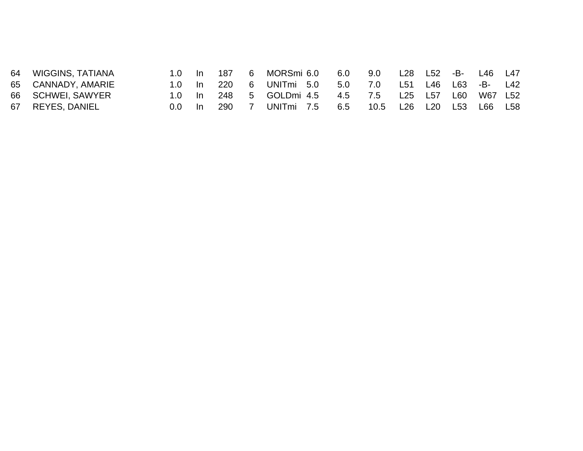| 64 WIGGINS, TATIANA | 1.0 In 187 |        |     |   | 6  MORSmi 6.0        | 6.0 9.0 |      | L28 L52 -B- L46 L47 |                 |         |  |
|---------------------|------------|--------|-----|---|----------------------|---------|------|---------------------|-----------------|---------|--|
| 65 CANNADY, AMARIE  |            | ln 220 |     | 6 | UNITmi 5.0           | 5.0 7.0 |      | L51                 | L46 L63 -B- L42 |         |  |
| 66 SCHWEI, SAWYER   |            | ln 248 |     |   | 5 GOLDmi 4.5 4.5 7.5 |         |      | L25 L57 L60         |                 | W67 L52 |  |
| 67 REYES, DANIEL    | $0.0^-$    | -In    | 290 |   | UNITmi 7.5           | 6.5     | 10.5 | L26 L20             | L53             | L66 L58 |  |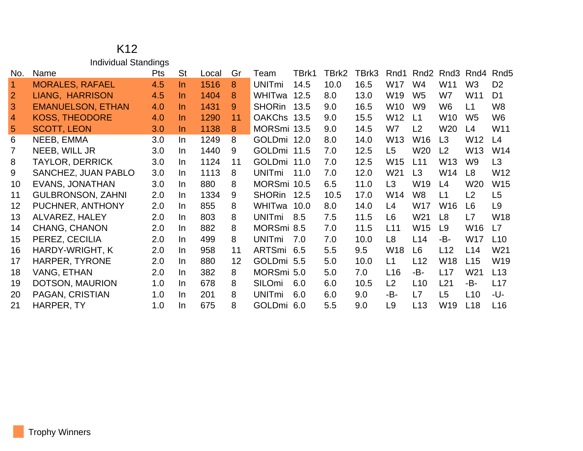|                | <b>Individual Standings</b> |            |           |       |    |               |       |       |       |                 |                  |                 |                 |                  |
|----------------|-----------------------------|------------|-----------|-------|----|---------------|-------|-------|-------|-----------------|------------------|-----------------|-----------------|------------------|
| No.            | Name                        | <b>Pts</b> | <b>St</b> | Local | Gr | Team          | TBrk1 | TBrk2 | TBrk3 | Rnd1            | Rnd <sub>2</sub> |                 | Rnd3 Rnd4       | Rnd <sub>5</sub> |
| 1              | <b>MORALES, RAFAEL</b>      | 4.5        | $\ln$     | 1516  | 8  | <b>UNITmi</b> | 14.5  | 10.0  | 16.5  | W17             | W <sub>4</sub>   | W11             | W <sub>3</sub>  | D <sub>2</sub>   |
| $\overline{2}$ | LIANG, HARRISON             | 4.5        | In.       | 1404  | 8  | WHITwa        | 12.5  | 8.0   | 13.0  | W <sub>19</sub> | W <sub>5</sub>   | W7              | W11             | D <sub>1</sub>   |
| 3              | <b>EMANUELSON, ETHAN</b>    | 4.0        | In.       | 1431  | 9  | <b>SHORin</b> | 13.5  | 9.0   | 16.5  | W <sub>10</sub> | W <sub>9</sub>   | W <sub>6</sub>  | L1              | W <sub>8</sub>   |
| 4              | <b>KOSS, THEODORE</b>       | 4.0        | In.       | 1290  | 11 | <b>OAKChs</b> | 13.5  | 9.0   | 15.5  | W12             | L1               | W <sub>10</sub> | W <sub>5</sub>  | W <sub>6</sub>   |
| 5              | <b>SCOTT, LEON</b>          | 3.0        | $\ln$     | 1138  | 8  | MORSmi 13.5   |       | 9.0   | 14.5  | W7              | L2               | W <sub>20</sub> | L4              | W11              |
| 6              | NEEB, EMMA                  | 3.0        | In.       | 1249  | 8  | GOLDmi 12.0   |       | 8.0   | 14.0  | W <sub>13</sub> | W <sub>16</sub>  | L3              | W12             | L4               |
| $\overline{7}$ | NEEB, WILL JR               | 3.0        | In.       | 1440  | 9  | GOLDmi 11.5   |       | 7.0   | 12.5  | L <sub>5</sub>  | W <sub>20</sub>  | L <sub>2</sub>  | W13             | W14              |
| 8              | <b>TAYLOR, DERRICK</b>      | 3.0        | In        | 1124  | 11 | <b>GOLDmi</b> | 11.0  | 7.0   | 12.5  | W <sub>15</sub> | L11              | W13             | W <sub>9</sub>  | L3               |
| 9              | SANCHEZ, JUAN PABLO         | 3.0        | In.       | 1113  | 8  | <b>UNITmi</b> | 11.0  | 7.0   | 12.0  | W <sub>21</sub> | L <sub>3</sub>   | W14             | L <sub>8</sub>  | W12              |
| 10             | <b>EVANS, JONATHAN</b>      | 3.0        | In        | 880   | 8  | MORSmi 10.5   |       | 6.5   | 11.0  | L <sub>3</sub>  | W19              | L4              | W <sub>20</sub> | W15              |
| 11             | <b>GULBRONSON, ZAHNI</b>    | 2.0        | In        | 1334  | 9  | <b>SHORin</b> | 12.5  | 10.5  | 17.0  | W14             | W <sub>8</sub>   | L1              | L2              | L5               |
| 12             | PUCHNER, ANTHONY            | 2.0        | In        | 855   | 8  | WHITwa        | 10.0  | 8.0   | 14.0  | L4              | W17              | W16             | L <sub>6</sub>  | L <sub>9</sub>   |
| 13             | ALVAREZ, HALEY              | 2.0        | In        | 803   | 8  | <b>UNITmi</b> | 8.5   | 7.5   | 11.5  | L <sub>6</sub>  | W21              | L8              | L7              | <b>W18</b>       |
| 14             | <b>CHANG, CHANON</b>        | 2.0        | In.       | 882   | 8  | MORSmi 8.5    |       | 7.0   | 11.5  | L11             | W <sub>15</sub>  | L9              | W <sub>16</sub> | L7               |
| 15             | PEREZ, CECILIA              | 2.0        | In.       | 499   | 8  | <b>UNITmi</b> | 7.0   | 7.0   | 10.0  | L <sub>8</sub>  | L14              | -B-             | W17             | L10              |
| 16             | <b>HARDY-WRIGHT, K</b>      | 2.0        | In        | 958   | 11 | <b>ARTSmi</b> | 6.5   | 5.5   | 9.5   | W18             | L <sub>6</sub>   | L12             | L14             | W21              |
| 17             | <b>HARPER, TYRONE</b>       | 2.0        | In        | 880   | 12 | GOLDmi 5.5    |       | 5.0   | 10.0  | L1              | L12              | <b>W18</b>      | L15             | W19              |
| 18             | VANG, ETHAN                 | 2.0        | In        | 382   | 8  | MORSmi 5.0    |       | 5.0   | 7.0   | L16             | -B-              | L17             | W21             | L13              |
| 19             | DOTSON, MAURION             | 1.0        | In        | 678   | 8  | SILOmi        | 6.0   | 6.0   | 10.5  | L2              | L10              | L21             | -B-             | L17              |
| 20             | PAGAN, CRISTIAN             | 1.0        | In.       | 201   | 8  | <b>UNITmi</b> | 6.0   | 6.0   | 9.0   | -B-             | L7               | L5              | L10             | -U-              |
| 21             | HARPER, TY                  | 1.0        | In.       | 675   | 8  | GOLDmi 6.0    |       | 5.5   | 9.0   | L <sub>9</sub>  | L <sub>13</sub>  | W19             | L18             | L16              |

## K12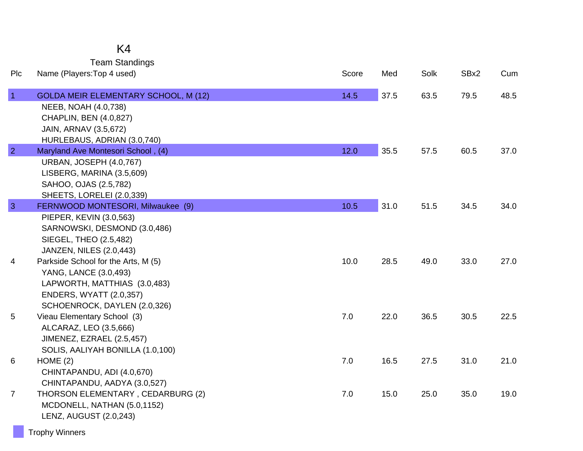## K4

Team Standings

| Plc            | Name (Players: Top 4 used)                                   | Score | Med  | Solk | SBx2 | Cum  |
|----------------|--------------------------------------------------------------|-------|------|------|------|------|
| $\vert$ 1      | <b>GOLDA MEIR ELEMENTARY SCHOOL, M (12)</b>                  | 14.5  | 37.5 | 63.5 | 79.5 | 48.5 |
|                | NEEB, NOAH (4.0,738)                                         |       |      |      |      |      |
|                | CHAPLIN, BEN (4.0,827)                                       |       |      |      |      |      |
|                | JAIN, ARNAV (3.5,672)                                        |       |      |      |      |      |
|                | HURLEBAUS, ADRIAN (3.0,740)                                  |       |      |      |      |      |
| $\overline{2}$ | Maryland Ave Montesori School, (4)                           | 12.0  | 35.5 | 57.5 | 60.5 | 37.0 |
|                | <b>URBAN, JOSEPH (4.0,767)</b>                               |       |      |      |      |      |
|                | LISBERG, MARINA (3.5,609)                                    |       |      |      |      |      |
|                | SAHOO, OJAS (2.5,782)                                        |       |      |      |      |      |
|                | SHEETS, LORELEI (2.0,339)                                    |       |      |      |      |      |
| $\overline{3}$ | FERNWOOD MONTESORI, Milwaukee (9)<br>PIEPER, KEVIN (3.0,563) | 10.5  | 31.0 | 51.5 | 34.5 | 34.0 |
|                | SARNOWSKI, DESMOND (3.0,486)                                 |       |      |      |      |      |
|                | SIEGEL, THEO (2.5,482)                                       |       |      |      |      |      |
|                | <b>JANZEN, NILES (2.0,443)</b>                               |       |      |      |      |      |
| 4              | Parkside School for the Arts, M (5)                          | 10.0  | 28.5 | 49.0 | 33.0 | 27.0 |
|                | YANG, LANCE (3.0,493)                                        |       |      |      |      |      |
|                | LAPWORTH, MATTHIAS (3.0,483)                                 |       |      |      |      |      |
|                | <b>ENDERS, WYATT (2.0,357)</b>                               |       |      |      |      |      |
|                | SCHOENROCK, DAYLEN (2.0,326)                                 |       |      |      |      |      |
| 5              | Vieau Elementary School (3)                                  | 7.0   | 22.0 | 36.5 | 30.5 | 22.5 |
|                | ALCARAZ, LEO (3.5,666)                                       |       |      |      |      |      |
|                | JIMENEZ, EZRAEL (2.5,457)                                    |       |      |      |      |      |
|                | SOLIS, AALIYAH BONILLA (1.0,100)                             |       |      |      |      |      |
| 6              | HOME(2)                                                      | 7.0   | 16.5 | 27.5 | 31.0 | 21.0 |
|                | CHINTAPANDU, ADI (4.0,670)                                   |       |      |      |      |      |
|                | CHINTAPANDU, AADYA (3.0,527)                                 |       |      |      |      |      |
| $\overline{7}$ | THORSON ELEMENTARY, CEDARBURG (2)                            | 7.0   | 15.0 | 25.0 | 35.0 | 19.0 |
|                | MCDONELL, NATHAN (5.0,1152)                                  |       |      |      |      |      |
|                | LENZ, AUGUST (2.0,243)                                       |       |      |      |      |      |
|                |                                                              |       |      |      |      |      |

Trophy Winners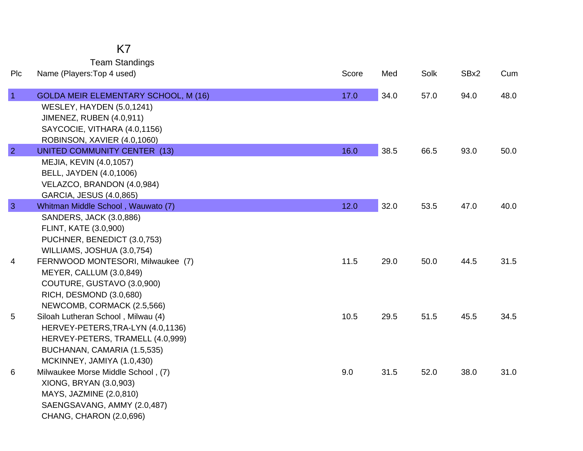Team Standings

| Plc            | Name (Players: Top 4 used)                                                                                                                                                | Score | Med  | Solk | SBx2 | Cum  |
|----------------|---------------------------------------------------------------------------------------------------------------------------------------------------------------------------|-------|------|------|------|------|
| $\vert$ 1      | GOLDA MEIR ELEMENTARY SCHOOL, M (16)<br><b>WESLEY, HAYDEN (5.0,1241)</b><br><b>JIMENEZ, RUBEN (4.0,911)</b>                                                               | 17.0  | 34.0 | 57.0 | 94.0 | 48.0 |
| $\overline{2}$ | SAYCOCIE, VITHARA (4.0,1156)<br>ROBINSON, XAVIER (4.0,1060)<br><b>UNITED COMMUNITY CENTER (13)</b>                                                                        | 16.0  | 38.5 | 66.5 | 93.0 | 50.0 |
|                | MEJIA, KEVIN (4.0,1057)<br>BELL, JAYDEN (4.0,1006)<br>VELAZCO, BRANDON (4.0,984)<br>GARCIA, JESUS (4.0,865)                                                               |       |      |      |      |      |
| $\mathbf{3}$   | Whitman Middle School, Wauwato (7)<br>SANDERS, JACK (3.0,886)                                                                                                             | 12.0  | 32.0 | 53.5 | 47.0 | 40.0 |
|                | FLINT, KATE (3.0,900)<br>PUCHNER, BENEDICT (3.0,753)<br>WILLIAMS, JOSHUA (3.0,754)                                                                                        |       |      |      |      |      |
| 4              | FERNWOOD MONTESORI, Milwaukee (7)<br>MEYER, CALLUM (3.0,849)<br>COUTURE, GUSTAVO (3.0,900)<br>RICH, DESMOND (3.0,680)<br>NEWCOMB, CORMACK (2.5,566)                       | 11.5  | 29.0 | 50.0 | 44.5 | 31.5 |
| 5              | Siloah Lutheran School, Milwau (4)<br>HERVEY-PETERS, TRA-LYN (4.0, 1136)<br>HERVEY-PETERS, TRAMELL (4.0,999)<br>BUCHANAN, CAMARIA (1.5,535)<br>MCKINNEY, JAMIYA (1.0,430) | 10.5  | 29.5 | 51.5 | 45.5 | 34.5 |
| 6              | Milwaukee Morse Middle School, (7)<br>XIONG, BRYAN (3.0,903)<br>MAYS, JAZMINE (2.0,810)<br>SAENGSAVANG, AMMY (2.0,487)<br>CHANG, CHARON (2.0,696)                         | 9.0   | 31.5 | 52.0 | 38.0 | 31.0 |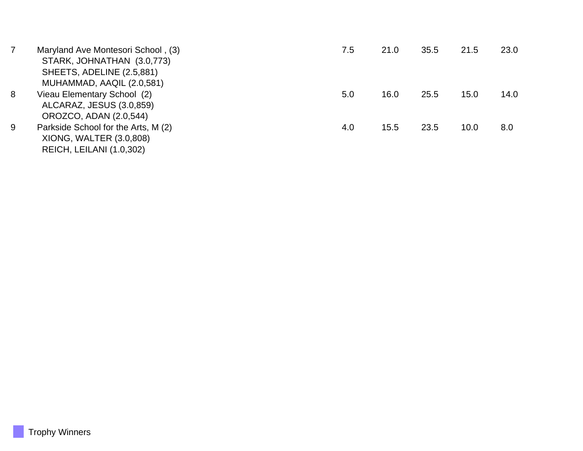| 7 | Maryland Ave Montesori School, (3)  | 7.5 | 21.0 | 35.5 | 21.5 | 23.0 |
|---|-------------------------------------|-----|------|------|------|------|
|   | STARK, JOHNATHAN (3.0,773)          |     |      |      |      |      |
|   | SHEETS, ADELINE (2.5,881)           |     |      |      |      |      |
|   | MUHAMMAD, AAQIL (2.0,581)           |     |      |      |      |      |
| 8 | Vieau Elementary School (2)         | 5.0 | 16.0 | 25.5 | 15.0 | 14.0 |
|   | ALCARAZ, JESUS (3.0,859)            |     |      |      |      |      |
|   | OROZCO, ADAN (2.0,544)              |     |      |      |      |      |
| 9 | Parkside School for the Arts, M (2) | 4.0 | 15.5 | 23.5 | 10.0 | 8.0  |
|   | XIONG, WALTER (3.0,808)             |     |      |      |      |      |
|   | REICH, LEILANI (1.0,302)            |     |      |      |      |      |